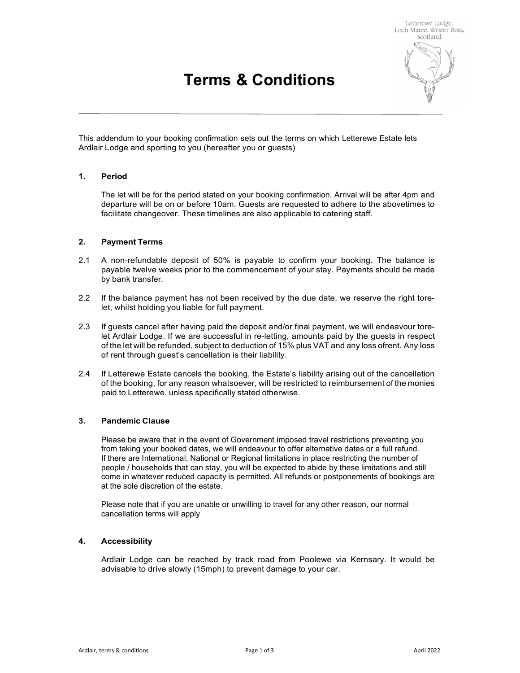# Terms & Conditions



This addendum to your booking confirmation sets out the terms on which Letterewe Estate lets Ardlair Lodge and sporting to you (hereafter you or guests)

### 1. Period

 The let will be for the period stated on your booking confirmation. Arrival will be after 4pm and departure will be on or before 10am. Guests are requested to adhere to the abovetimes to facilitate changeover. These timelines are also applicable to catering staff.

#### 2. Payment Terms

- 2.1 A non-refundable deposit of 50% is payable to confirm your booking. The balance is payable twelve weeks prior to the commencement of your stay. Payments should be made by bank transfer.
- 2.2 If the balance payment has not been received by the due date, we reserve the right torelet, whilst holding you liable for full payment.
- 2.3 If guests cancel after having paid the deposit and/or final payment, we will endeavour torelet Ardlair Lodge. If we are successful in re-letting, amounts paid by the guests in respect of the let will be refunded, subject to deduction of 15% plus VAT and any loss ofrent. Any loss of rent through guest's cancellation is their liability.
- 2.4 If Letterewe Estate cancels the booking, the Estate's liability arising out of the cancellation of the booking, for any reason whatsoever, will be restricted to reimbursement of the monies paid to Letterewe, unless specifically stated otherwise.

# 3. Pandemic Clause

 Please be aware that in the event of Government imposed travel restrictions preventing you from taking your booked dates, we will endeavour to offer alternative dates or a full refund. If there are International, National or Regional limitations in place restricting the number of people / households that can stay, you will be expected to abide by these limitations and still come in whatever reduced capacity is permitted. All refunds or postponements of bookings are at the sole discretion of the estate.

 Please note that if you are unable or unwilling to travel for any other reason, our normal cancellation terms will apply

### 4. Accessibility

 Ardlair Lodge can be reached by track road from Poolewe via Kernsary. It would be advisable to drive slowly (15mph) to prevent damage to your car.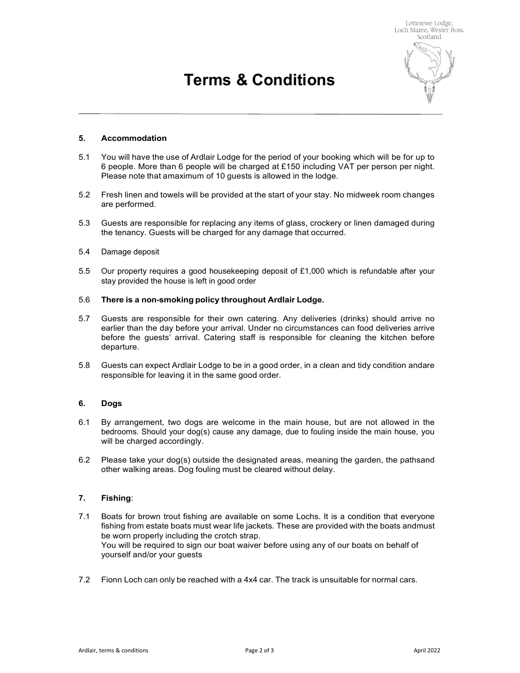# Terms & Conditions



## 5. Accommodation

- 5.1 You will have the use of Ardlair Lodge for the period of your booking which will be for up to 6 people. More than 6 people will be charged at £150 including VAT per person per night. Please note that amaximum of 10 guests is allowed in the lodge.
- 5.2 Fresh linen and towels will be provided at the start of your stay. No midweek room changes are performed.
- 5.3 Guests are responsible for replacing any items of glass, crockery or linen damaged during the tenancy. Guests will be charged for any damage that occurred.
- 5.4 Damage deposit
- 5.5 Our property requires a good housekeeping deposit of £1,000 which is refundable after your stay provided the house is left in good order

### 5.6 There is a non-smoking policy throughout Ardlair Lodge.

- 5.7 Guests are responsible for their own catering. Any deliveries (drinks) should arrive no earlier than the day before your arrival. Under no circumstances can food deliveries arrive before the guests' arrival. Catering staff is responsible for cleaning the kitchen before departure.
- 5.8 Guests can expect Ardlair Lodge to be in a good order, in a clean and tidy condition and are responsible for leaving it in the same good order.

#### 6. Dogs

- 6.1 By arrangement, two dogs are welcome in the main house, but are not allowed in the bedrooms. Should your dog(s) cause any damage, due to fouling inside the main house, you will be charged accordingly.
- 6.2 Please take your dog(s) outside the designated areas, meaning the garden, the paths and other walking areas. Dog fouling must be cleared without delay.

#### 7. Fishing:

- 7.1 Boats for brown trout fishing are available on some Lochs. It is a condition that everyone fishing from estate boats must wear life jackets. These are provided with the boats and must be worn properly including the crotch strap. You will be required to sign our boat waiver before using any of our boats on behalf of yourself and/or your guests
- 7.2 Fionn Loch can only be reached with a 4x4 car. The track is unsuitable for normal cars.